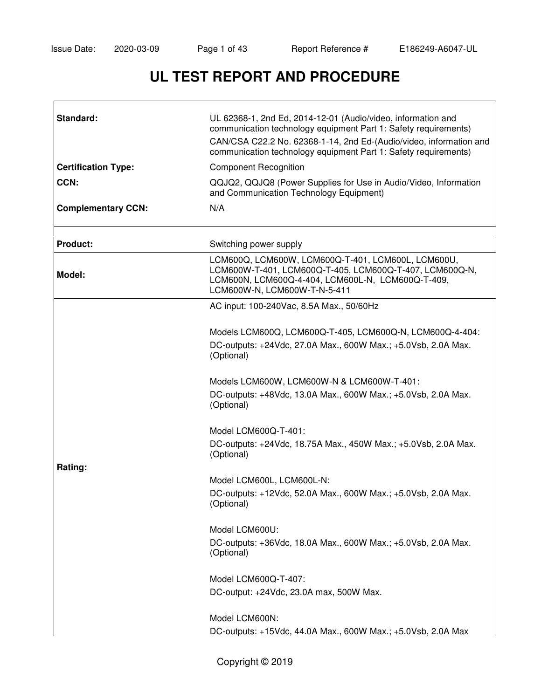# **UL TEST REPORT AND PROCEDURE**

| Standard:                  | UL 62368-1, 2nd Ed, 2014-12-01 (Audio/video, information and<br>communication technology equipment Part 1: Safety requirements)<br>CAN/CSA C22.2 No. 62368-1-14, 2nd Ed-(Audio/video, information and<br>communication technology equipment Part 1: Safety requirements) |  |
|----------------------------|--------------------------------------------------------------------------------------------------------------------------------------------------------------------------------------------------------------------------------------------------------------------------|--|
| <b>Certification Type:</b> | <b>Component Recognition</b>                                                                                                                                                                                                                                             |  |
| CCN:                       | QQJQ2, QQJQ8 (Power Supplies for Use in Audio/Video, Information<br>and Communication Technology Equipment)                                                                                                                                                              |  |
| <b>Complementary CCN:</b>  | N/A                                                                                                                                                                                                                                                                      |  |
| <b>Product:</b>            | Switching power supply                                                                                                                                                                                                                                                   |  |
| Model:                     | LCM600Q, LCM600W, LCM600Q-T-401, LCM600L, LCM600U,<br>LCM600W-T-401, LCM600Q-T-405, LCM600Q-T-407, LCM600Q-N,<br>LCM600N, LCM600Q-4-404, LCM600L-N, LCM600Q-T-409,<br>LCM600W-N, LCM600W-T-N-5-411                                                                       |  |
|                            | AC input: 100-240Vac, 8.5A Max., 50/60Hz                                                                                                                                                                                                                                 |  |
|                            | Models LCM600Q, LCM600Q-T-405, LCM600Q-N, LCM600Q-4-404:                                                                                                                                                                                                                 |  |
|                            | DC-outputs: +24Vdc, 27.0A Max., 600W Max.; +5.0Vsb, 2.0A Max.<br>(Optional)                                                                                                                                                                                              |  |
|                            | Models LCM600W, LCM600W-N & LCM600W-T-401:                                                                                                                                                                                                                               |  |
|                            | DC-outputs: +48Vdc, 13.0A Max., 600W Max.; +5.0Vsb, 2.0A Max.<br>(Optional)                                                                                                                                                                                              |  |
|                            | Model LCM600Q-T-401:                                                                                                                                                                                                                                                     |  |
|                            | DC-outputs: +24Vdc, 18.75A Max., 450W Max.; +5.0Vsb, 2.0A Max.<br>(Optional)                                                                                                                                                                                             |  |
| Rating:                    | Model LCM600L, LCM600L-N:                                                                                                                                                                                                                                                |  |
|                            | DC-outputs: +12Vdc, 52.0A Max., 600W Max.; +5.0Vsb, 2.0A Max.<br>(Optional)                                                                                                                                                                                              |  |
|                            | Model LCM600U:                                                                                                                                                                                                                                                           |  |
|                            | DC-outputs: +36Vdc, 18.0A Max., 600W Max.; +5.0Vsb, 2.0A Max.<br>(Optional)                                                                                                                                                                                              |  |
|                            | Model LCM600Q-T-407:                                                                                                                                                                                                                                                     |  |
|                            | DC-output: +24Vdc, 23.0A max, 500W Max.                                                                                                                                                                                                                                  |  |
|                            | Model LCM600N:                                                                                                                                                                                                                                                           |  |
|                            | DC-outputs: +15Vdc, 44.0A Max., 600W Max.; +5.0Vsb, 2.0A Max                                                                                                                                                                                                             |  |
|                            |                                                                                                                                                                                                                                                                          |  |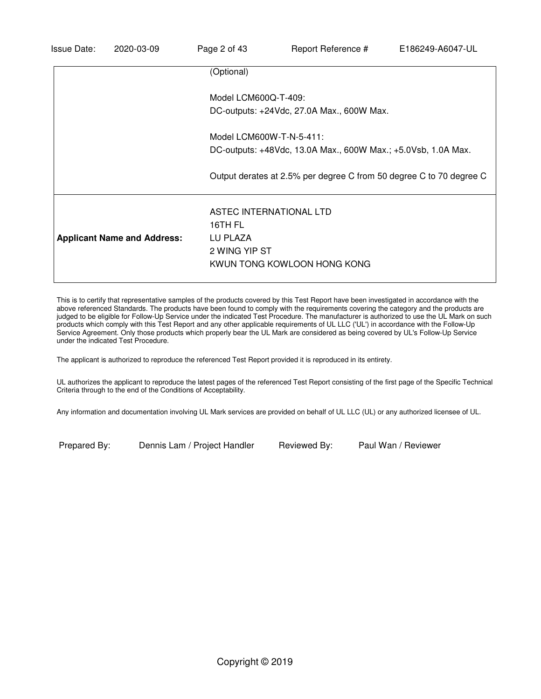|                                    | (Optional)                                                                                     |
|------------------------------------|------------------------------------------------------------------------------------------------|
|                                    | Model LCM600Q-T-409:                                                                           |
|                                    | DC-outputs: +24Vdc, 27.0A Max., 600W Max.                                                      |
|                                    | Model LCM600W-T-N-5-411:                                                                       |
|                                    | DC-outputs: +48Vdc, 13.0A Max., 600W Max.; +5.0Vsb, 1.0A Max.                                  |
|                                    | Output derates at 2.5% per degree C from 50 degree C to 70 degree C                            |
| <b>Applicant Name and Address:</b> | ASTEC INTERNATIONAL LTD<br>16TH FL<br>LU PLAZA<br>2 WING YIP ST<br>KWUN TONG KOWLOON HONG KONG |

This is to certify that representative samples of the products covered by this Test Report have been investigated in accordance with the above referenced Standards. The products have been found to comply with the requirements covering the category and the products are judged to be eligible for Follow-Up Service under the indicated Test Procedure. The manufacturer is authorized to use the UL Mark on such products which comply with this Test Report and any other applicable requirements of UL LLC ('UL') in accordance with the Follow-Up Service Agreement. Only those products which properly bear the UL Mark are considered as being covered by UL's Follow-Up Service under the indicated Test Procedure.

The applicant is authorized to reproduce the referenced Test Report provided it is reproduced in its entirety.

UL authorizes the applicant to reproduce the latest pages of the referenced Test Report consisting of the first page of the Specific Technical Criteria through to the end of the Conditions of Acceptability.

Any information and documentation involving UL Mark services are provided on behalf of UL LLC (UL) or any authorized licensee of UL.

Prepared By: Dennis Lam / Project Handler Reviewed By: Paul Wan / Reviewer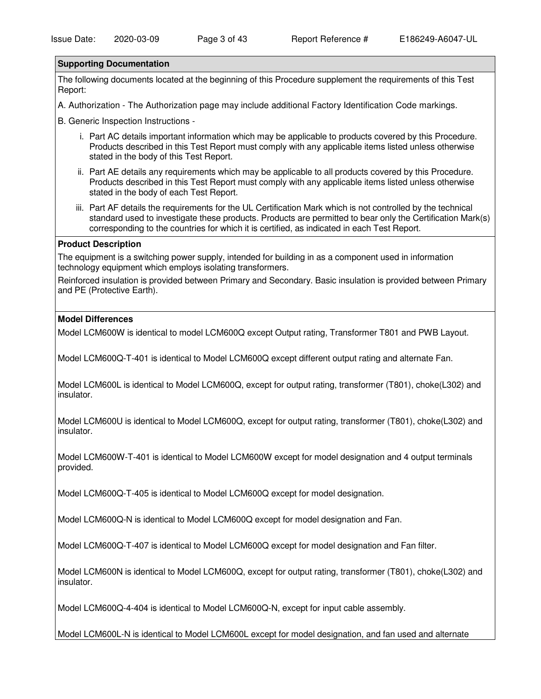#### **Supporting Documentation**

The following documents located at the beginning of this Procedure supplement the requirements of this Test Report:

A. Authorization - The Authorization page may include additional Factory Identification Code markings.

B. Generic Inspection Instructions -

- i. Part AC details important information which may be applicable to products covered by this Procedure. Products described in this Test Report must comply with any applicable items listed unless otherwise stated in the body of this Test Report.
- ii. Part AE details any requirements which may be applicable to all products covered by this Procedure. Products described in this Test Report must comply with any applicable items listed unless otherwise stated in the body of each Test Report.
- iii. Part AF details the requirements for the UL Certification Mark which is not controlled by the technical standard used to investigate these products. Products are permitted to bear only the Certification Mark(s) corresponding to the countries for which it is certified, as indicated in each Test Report.

#### **Product Description**

The equipment is a switching power supply, intended for building in as a component used in information technology equipment which employs isolating transformers.

Reinforced insulation is provided between Primary and Secondary. Basic insulation is provided between Primary and PE (Protective Earth).

#### **Model Differences**

Model LCM600W is identical to model LCM600Q except Output rating, Transformer T801 and PWB Layout.

Model LCM600Q-T-401 is identical to Model LCM600Q except different output rating and alternate Fan.

Model LCM600L is identical to Model LCM600Q, except for output rating, transformer (T801), choke(L302) and insulator.

Model LCM600U is identical to Model LCM600Q, except for output rating, transformer (T801), choke(L302) and insulator.

Model LCM600W-T-401 is identical to Model LCM600W except for model designation and 4 output terminals provided.

Model LCM600Q-T-405 is identical to Model LCM600Q except for model designation.

Model LCM600Q-N is identical to Model LCM600Q except for model designation and Fan.

Model LCM600Q-T-407 is identical to Model LCM600Q except for model designation and Fan filter.

Model LCM600N is identical to Model LCM600Q, except for output rating, transformer (T801), choke(L302) and insulator.

Model LCM600Q-4-404 is identical to Model LCM600Q-N, except for input cable assembly.

Model LCM600L-N is identical to Model LCM600L except for model designation, and fan used and alternate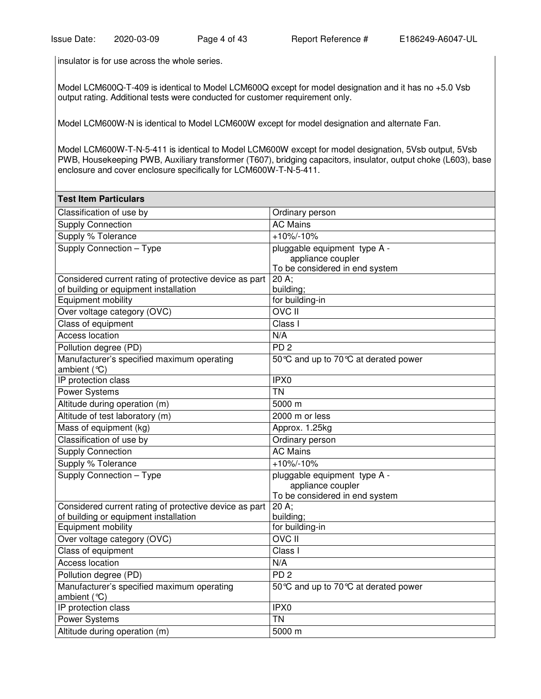insulator is for use across the whole series.

Model LCM600Q-T-409 is identical to Model LCM600Q except for model designation and it has no +5.0 Vsb output rating. Additional tests were conducted for customer requirement only.

Model LCM600W-N is identical to Model LCM600W except for model designation and alternate Fan.

Model LCM600W-T-N-5-411 is identical to Model LCM600W except for model designation, 5Vsb output, 5Vsb PWB, Housekeeping PWB, Auxiliary transformer (T607), bridging capacitors, insulator, output choke (L603), base enclosure and cover enclosure specifically for LCM600W-T-N-5-411.

| <b>Test Item Particulars</b>                               |                                      |  |
|------------------------------------------------------------|--------------------------------------|--|
| Classification of use by                                   | Ordinary person                      |  |
| <b>Supply Connection</b>                                   | <b>AC Mains</b>                      |  |
| Supply % Tolerance                                         | $+10\% - 10\%$                       |  |
| Supply Connection - Type                                   | pluggable equipment type A -         |  |
|                                                            | appliance coupler                    |  |
|                                                            | To be considered in end system       |  |
| Considered current rating of protective device as part     | $20 \text{ A}$ ;                     |  |
| of building or equipment installation                      | building;                            |  |
| <b>Equipment mobility</b>                                  | for building-in                      |  |
| Over voltage category (OVC)                                | <b>OVC II</b>                        |  |
| Class of equipment                                         | Class I                              |  |
| <b>Access location</b>                                     | N/A                                  |  |
| Pollution degree (PD)                                      | PD <sub>2</sub>                      |  |
| Manufacturer's specified maximum operating                 | 50 ℃ and up to 70 ℃ at derated power |  |
| ambient $(°C)$                                             |                                      |  |
| IP protection class                                        | IPX0                                 |  |
| <b>Power Systems</b>                                       | <b>TN</b>                            |  |
| Altitude during operation (m)                              | 5000 m                               |  |
| Altitude of test laboratory (m)                            | 2000 m or less                       |  |
| Mass of equipment (kg)                                     | Approx. 1.25kg                       |  |
| Classification of use by                                   | Ordinary person                      |  |
| Supply Connection                                          | <b>AC Mains</b>                      |  |
| Supply % Tolerance                                         | $+10\% - 10\%$                       |  |
| Supply Connection - Type                                   | pluggable equipment type A -         |  |
|                                                            | appliance coupler                    |  |
|                                                            | To be considered in end system       |  |
| Considered current rating of protective device as part     | $20 \text{ A}$                       |  |
| of building or equipment installation                      | building;                            |  |
| Equipment mobility                                         | for building-in                      |  |
| Over voltage category (OVC)                                | <b>OVC II</b>                        |  |
| Class of equipment                                         | Class I                              |  |
| Access location                                            | N/A                                  |  |
| Pollution degree (PD)                                      | PD <sub>2</sub>                      |  |
| Manufacturer's specified maximum operating<br>ambient (°C) | 50 ℃ and up to 70 ℃ at derated power |  |
| IP protection class                                        | IPX <sub>0</sub>                     |  |
| Power Systems                                              | <b>TN</b>                            |  |
| Altitude during operation (m)                              | 5000 m                               |  |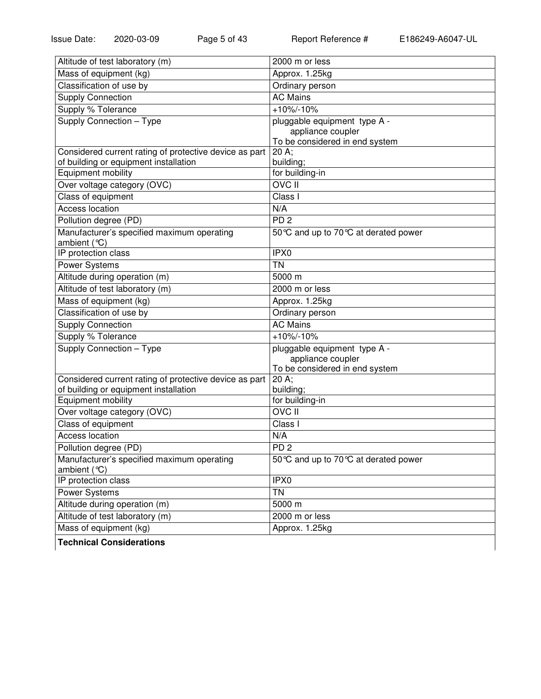| Altitude of test laboratory (m)                              | 2000 m or less                       |
|--------------------------------------------------------------|--------------------------------------|
| Mass of equipment (kg)                                       | Approx. 1.25kg                       |
| Classification of use by                                     | Ordinary person                      |
| <b>Supply Connection</b>                                     | <b>AC Mains</b>                      |
| Supply % Tolerance                                           | $+10\% - 10\%$                       |
| Supply Connection - Type                                     | pluggable equipment type A -         |
|                                                              | appliance coupler                    |
|                                                              | To be considered in end system       |
| Considered current rating of protective device as part       | 20 A;                                |
| of building or equipment installation<br>Equipment mobility  | building;<br>for building-in         |
|                                                              | <b>OVC II</b>                        |
| Over voltage category (OVC)                                  |                                      |
| Class of equipment                                           | Class I                              |
| <b>Access location</b>                                       | N/A                                  |
| Pollution degree (PD)                                        | PD <sub>2</sub>                      |
| Manufacturer's specified maximum operating<br>ambient (°C)   | 50 ℃ and up to 70 ℃ at derated power |
| IP protection class                                          | IPX <sub>0</sub>                     |
| Power Systems                                                | $\overline{T}N$                      |
| Altitude during operation (m)                                | 5000 m                               |
| Altitude of test laboratory (m)                              | 2000 m or less                       |
| Mass of equipment (kg)                                       | Approx. 1.25kg                       |
| Classification of use by                                     | Ordinary person                      |
| Supply Connection                                            | <b>AC Mains</b>                      |
| Supply % Tolerance                                           | $+10\% - 10\%$                       |
| Supply Connection - Type                                     | pluggable equipment type A -         |
|                                                              | appliance coupler                    |
|                                                              | To be considered in end system       |
| Considered current rating of protective device as part       | 20 A;                                |
| of building or equipment installation<br>Equipment mobility  | building;<br>for building-in         |
| Over voltage category (OVC)                                  | <b>OVCII</b>                         |
|                                                              | Class I                              |
| Class of equipment<br><b>Access location</b>                 |                                      |
|                                                              | N/A                                  |
| Pollution degree (PD)                                        | $\overline{PD}$ 2                    |
| Manufacturer's specified maximum operating<br>ambient $(°C)$ | 50 ℃ and up to 70 ℃ at derated power |
| IP protection class                                          | IPX0                                 |
| Power Systems                                                | <b>TN</b>                            |
| Altitude during operation (m)                                | 5000 m                               |
| Altitude of test laboratory (m)                              | 2000 m or less                       |
| Mass of equipment (kg)                                       | Approx. 1.25kg                       |
|                                                              |                                      |

**Technical Considerations**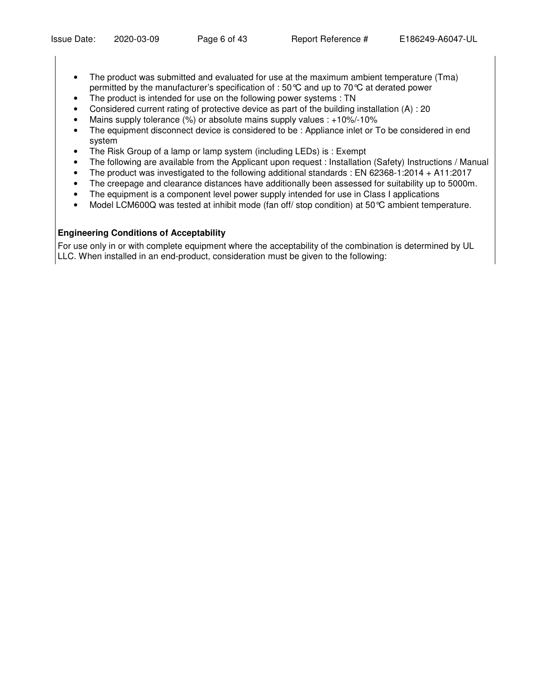- The product was submitted and evaluated for use at the maximum ambient temperature (Tma) permitted by the manufacturer's specification of : 50°C and up to 70°C at derated power
- The product is intended for use on the following power systems : TN
- Considered current rating of protective device as part of the building installation (A) : 20
- Mains supply tolerance (%) or absolute mains supply values : +10%/-10%
- The equipment disconnect device is considered to be : Appliance inlet or To be considered in end system
- The Risk Group of a lamp or lamp system (including LEDs) is : Exempt
- The following are available from the Applicant upon request : Installation (Safety) Instructions / Manual
- The product was investigated to the following additional standards : EN 62368-1:2014 + A11:2017
- The creepage and clearance distances have additionally been assessed for suitability up to 5000m.
- The equipment is a component level power supply intended for use in Class I applications
- Model LCM600Q was tested at inhibit mode (fan off/ stop condition) at 50°C ambient temperature.

## **Engineering Conditions of Acceptability**

For use only in or with complete equipment where the acceptability of the combination is determined by UL LLC. When installed in an end-product, consideration must be given to the following: